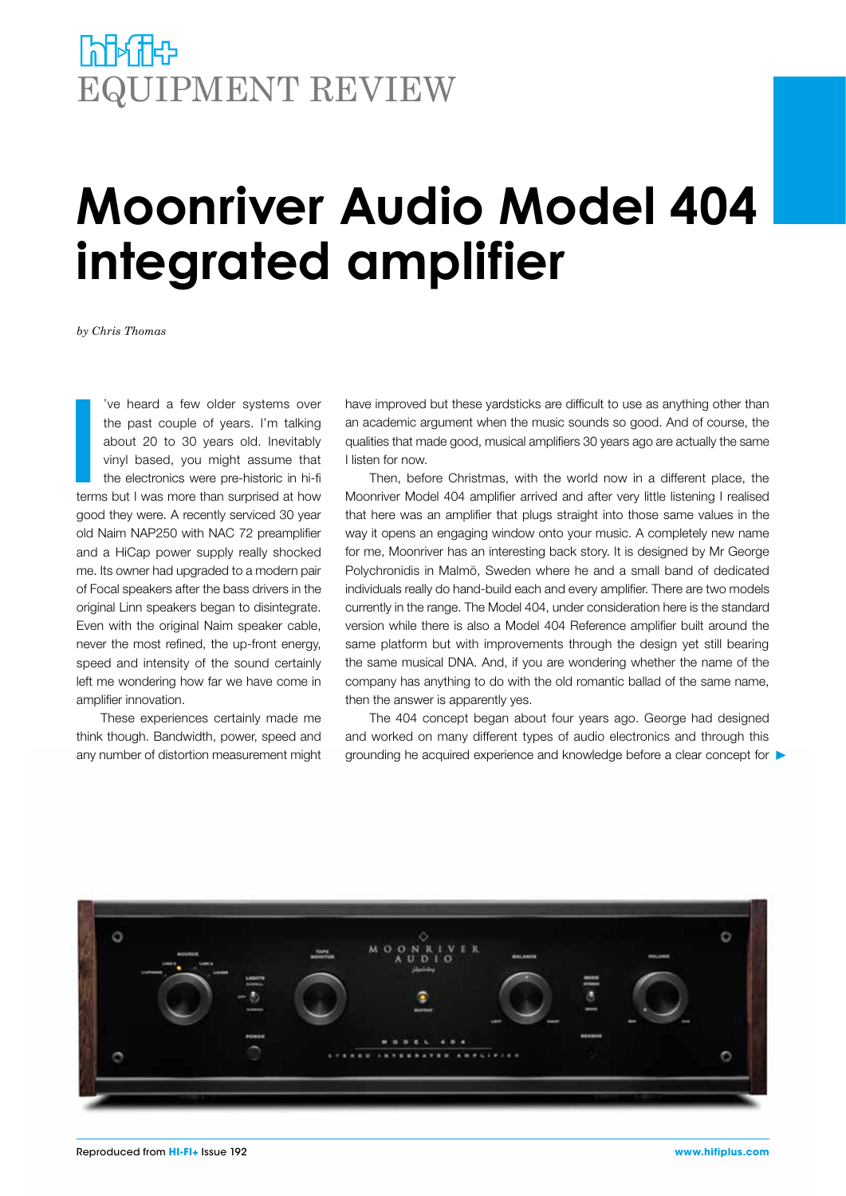## **INTA TEP** EQUIPMENT REVIEW

# **Moonriver Audio Model 404 integrated amplifier**

*by Chris Thomas*

**I**<br>I<br>I<br>I<br>I<br>I<br>I 've heard a few older systems over the past couple of years. I'm talking about 20 to 30 years old. Inevitably vinyl based, you might assume that the electronics were pre-historic in hi-fi terms but I was more than surprised at how good they were. A recently serviced 30 year old Naim NAP250 with NAC 72 preamplifier and a HiCap power supply really shocked me. Its owner had upgraded to a modern pair of Focal speakers after the bass drivers in the original Linn speakers began to disintegrate. Even with the original Naim speaker cable, never the most refined, the up-front energy, speed and intensity of the sound certainly left me wondering how far we have come in amplifier innovation.

These experiences certainly made me think though. Bandwidth, power, speed and any number of distortion measurement might have improved but these yardsticks are difficult to use as anything other than an academic argument when the music sounds so good. And of course, the qualities that made good, musical amplifiers 30 years ago are actually the same I listen for now.

Then, before Christmas, with the world now in a different place, the Moonriver Model 404 amplifier arrived and after very little listening I realised that here was an amplifier that plugs straight into those same values in the way it opens an engaging window onto your music. A completely new name for me, Moonriver has an interesting back story. It is designed by Mr George Polychronidis in Malmö, Sweden where he and a small band of dedicated individuals really do hand-build each and every amplifier. There are two models currently in the range. The Model 404, under consideration here is the standard version while there is also a Model 404 Reference amplifier built around the same platform but with improvements through the design yet still bearing the same musical DNA. And, if you are wondering whether the name of the company has anything to do with the old romantic ballad of the same name, then the answer is apparently yes.

The 404 concept began about four years ago. George had designed and worked on many different types of audio electronics and through this grounding he acquired experience and knowledge before a clear concept for

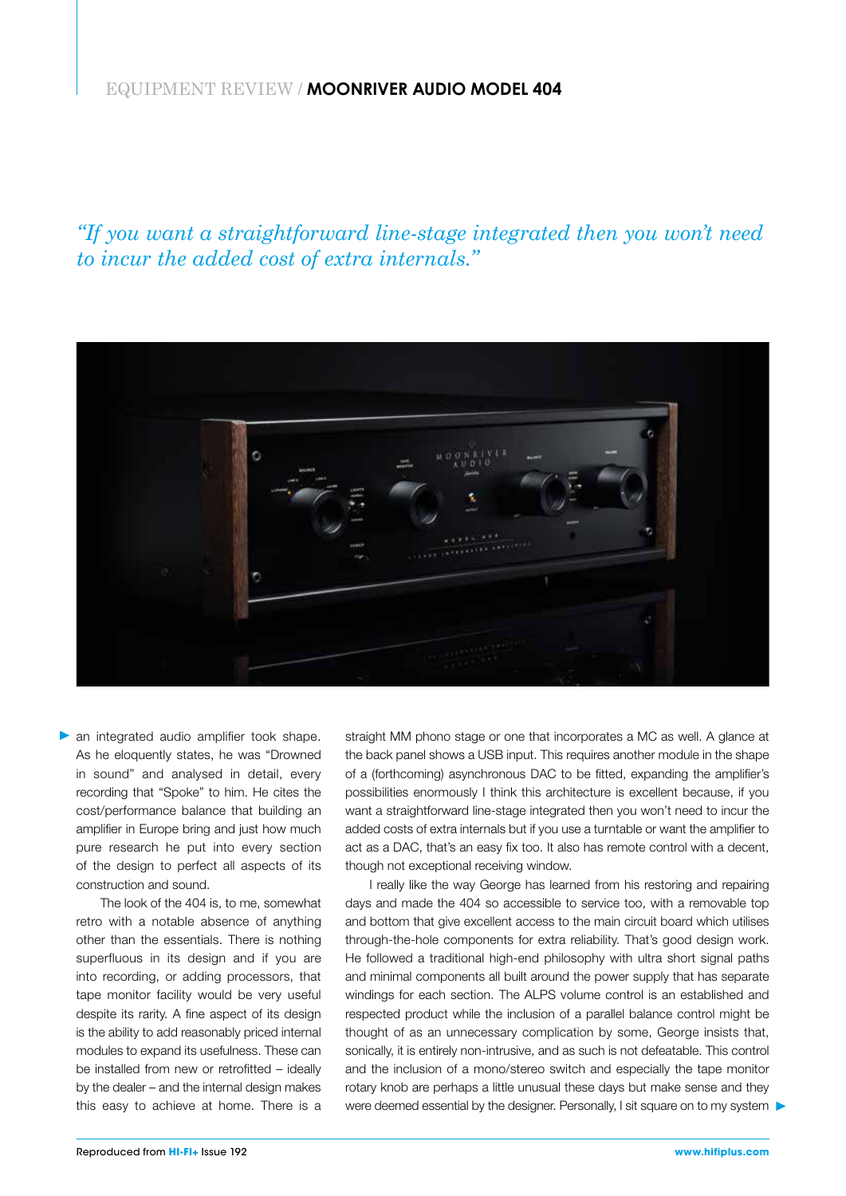#### EQUIPMENT REVIEW / **MOONRIVER AUDIO MODEL 404**

*"If you want a straightforward line-stage integrated then you won't need to incur the added cost of extra internals."*



an integrated audio amplifier took shape. As he eloquently states, he was "Drowned in sound" and analysed in detail, every recording that "Spoke" to him. He cites the cost/performance balance that building an amplifier in Europe bring and just how much pure research he put into every section of the design to perfect all aspects of its construction and sound.

The look of the 404 is, to me, somewhat retro with a notable absence of anything other than the essentials. There is nothing superfluous in its design and if you are into recording, or adding processors, that tape monitor facility would be very useful despite its rarity. A fine aspect of its design is the ability to add reasonably priced internal modules to expand its usefulness. These can be installed from new or retrofitted – ideally by the dealer – and the internal design makes this easy to achieve at home. There is a straight MM phono stage or one that incorporates a MC as well. A glance at the back panel shows a USB input. This requires another module in the shape of a (forthcoming) asynchronous DAC to be fitted, expanding the amplifier's possibilities enormously I think this architecture is excellent because, if you want a straightforward line-stage integrated then you won't need to incur the added costs of extra internals but if you use a turntable or want the amplifier to act as a DAC, that's an easy fix too. It also has remote control with a decent, though not exceptional receiving window.

I really like the way George has learned from his restoring and repairing days and made the 404 so accessible to service too, with a removable top and bottom that give excellent access to the main circuit board which utilises through-the-hole components for extra reliability. That's good design work. He followed a traditional high-end philosophy with ultra short signal paths and minimal components all built around the power supply that has separate windings for each section. The ALPS volume control is an established and respected product while the inclusion of a parallel balance control might be thought of as an unnecessary complication by some, George insists that, sonically, it is entirely non-intrusive, and as such is not defeatable. This control and the inclusion of a mono/stereo switch and especially the tape monitor rotary knob are perhaps a little unusual these days but make sense and they were deemed essential by the designer. Personally, I sit square on to my system  $\blacktriangleright$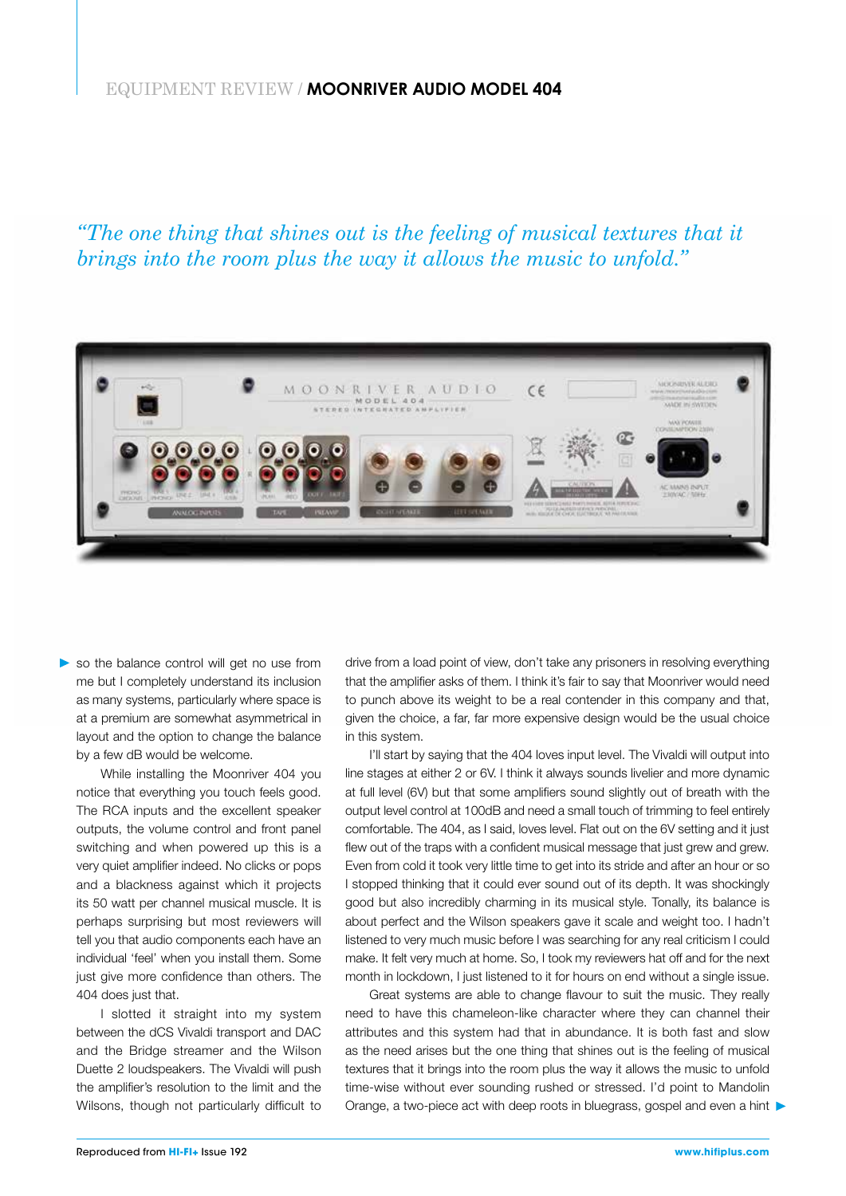#### EQUIPMENT REVIEW / **MOONRIVER AUDIO MODEL 404**

*"The one thing that shines out is the feeling of musical textures that it brings into the room plus the way it allows the music to unfold."*



so the balance control will get no use from me but I completely understand its inclusion as many systems, particularly where space is at a premium are somewhat asymmetrical in layout and the option to change the balance by a few dB would be welcome.

While installing the Moonriver 404 you notice that everything you touch feels good. The RCA inputs and the excellent speaker outputs, the volume control and front panel switching and when powered up this is a very quiet amplifier indeed. No clicks or pops and a blackness against which it projects its 50 watt per channel musical muscle. It is perhaps surprising but most reviewers will tell you that audio components each have an individual 'feel' when you install them. Some just give more confidence than others. The 404 does just that.

I slotted it straight into my system between the dCS Vivaldi transport and DAC and the Bridge streamer and the Wilson Duette 2 loudspeakers. The Vivaldi will push the amplifier's resolution to the limit and the Wilsons, though not particularly difficult to

drive from a load point of view, don't take any prisoners in resolving everything that the amplifier asks of them. I think it's fair to say that Moonriver would need to punch above its weight to be a real contender in this company and that, given the choice, a far, far more expensive design would be the usual choice in this system.

I'll start by saying that the 404 loves input level. The Vivaldi will output into line stages at either 2 or 6V. I think it always sounds livelier and more dynamic at full level (6V) but that some amplifiers sound slightly out of breath with the output level control at 100dB and need a small touch of trimming to feel entirely comfortable. The 404, as I said, loves level. Flat out on the 6V setting and it just flew out of the traps with a confident musical message that just grew and grew. Even from cold it took very little time to get into its stride and after an hour or so I stopped thinking that it could ever sound out of its depth. It was shockingly good but also incredibly charming in its musical style. Tonally, its balance is about perfect and the Wilson speakers gave it scale and weight too. I hadn't listened to very much music before I was searching for any real criticism I could make. It felt very much at home. So, I took my reviewers hat off and for the next month in lockdown, I just listened to it for hours on end without a single issue.

Great systems are able to change flavour to suit the music. They really need to have this chameleon-like character where they can channel their attributes and this system had that in abundance. It is both fast and slow as the need arises but the one thing that shines out is the feeling of musical textures that it brings into the room plus the way it allows the music to unfold time-wise without ever sounding rushed or stressed. I'd point to Mandolin Orange, a two-piece act with deep roots in bluegrass, gospel and even a hint  $\blacktriangleright$